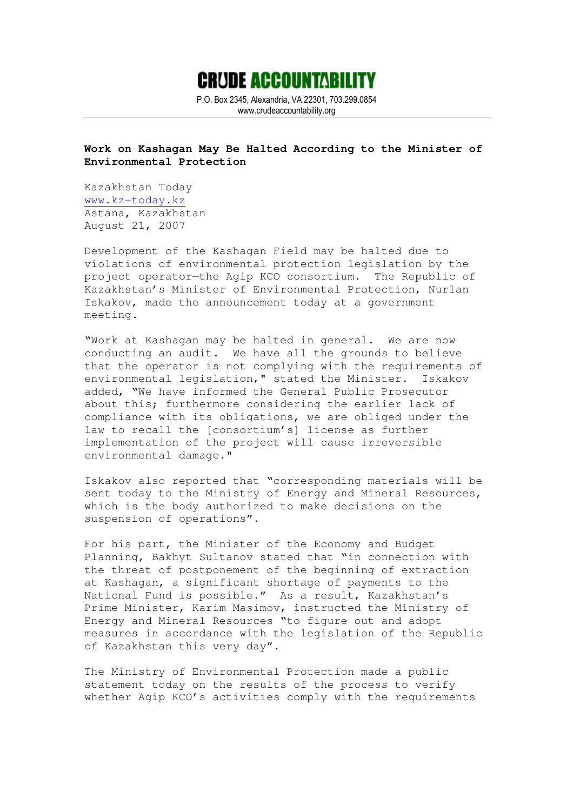

P.O. Box 2345, Alexandria, VA 22301, 703.299.0854 www.crudeaccountability.org

## **Work on Kashagan May Be Halted According to the Minister of Environmental Protection**

Kazakhstan Today www.kz-today.kz Astana, Kazakhstan August 21, 2007

Development of the Kashagan Field may be halted due to violations of environmental protection legislation by the project operator—the Agip KCO consortium. The Republic of Kazakhstan's Minister of Environmental Protection, Nurlan Iskakov, made the announcement today at a government meeting.

"Work at Kashagan may be halted in general. We are now conducting an audit. We have all the grounds to believe that the operator is not complying with the requirements of environmental legislation," stated the Minister. Iskakov added, "We have informed the General Public Prosecutor about this; furthermore considering the earlier lack of compliance with its obligations, we are obliged under the law to recall the [consortium's] license as further implementation of the project will cause irreversible environmental damage."

Iskakov also reported that "corresponding materials will be sent today to the Ministry of Energy and Mineral Resources, which is the body authorized to make decisions on the suspension of operations".

For his part, the Minister of the Economy and Budget Planning, Bakhyt Sultanov stated that "in connection with the threat of postponement of the beginning of extraction at Kashagan, a significant shortage of payments to the National Fund is possible." As a result, Kazakhstan's Prime Minister, Karim Masimov, instructed the Ministry of Energy and Mineral Resources "to figure out and adopt measures in accordance with the legislation of the Republic of Kazakhstan this very day".

The Ministry of Environmental Protection made a public statement today on the results of the process to verify whether Agip KCO's activities comply with the requirements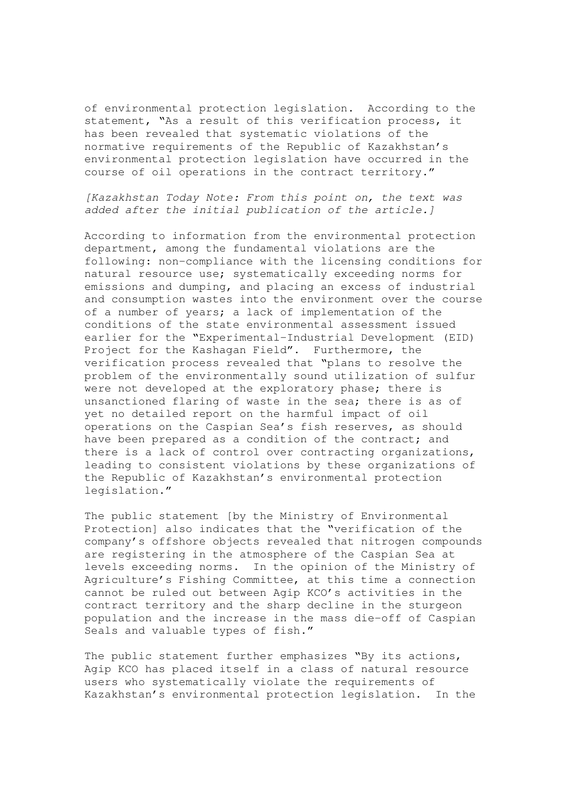of environmental protection legislation. According to the statement, "As a result of this verification process, it has been revealed that systematic violations of the normative requirements of the Republic of Kazakhstan's environmental protection legislation have occurred in the course of oil operations in the contract territory."

[Kazakhstan Today Note: From this point on, the text was added after the initial publication of the article.]

According to information from the environmental protection department, among the fundamental violations are the following: non-compliance with the licensing conditions for natural resource use; systematically exceeding norms for emissions and dumping, and placing an excess of industrial and consumption wastes into the environment over the course of a number of years; a lack of implementation of the conditions of the state environmental assessment issued earlier for the "Experimental-Industrial Development (EID) Project for the Kashagan Field". Furthermore, the verification process revealed that "plans to resolve the problem of the environmentally sound utilization of sulfur were not developed at the exploratory phase; there is unsanctioned flaring of waste in the sea; there is as of yet no detailed report on the harmful impact of oil operations on the Caspian Sea's fish reserves, as should have been prepared as a condition of the contract; and there is a lack of control over contracting organizations, leading to consistent violations by these organizations of the Republic of Kazakhstan's environmental protection legislation."

The public statement [by the Ministry of Environmental Protection] also indicates that the "verification of the company's offshore objects revealed that nitrogen compounds are registering in the atmosphere of the Caspian Sea at levels exceeding norms. In the opinion of the Ministry of Agriculture's Fishing Committee, at this time a connection cannot be ruled out between Agip KCO's activities in the contract territory and the sharp decline in the sturgeon population and the increase in the mass die-off of Caspian Seals and valuable types of fish."

The public statement further emphasizes "By its actions, Agip KCO has placed itself in a class of natural resource users who systematically violate the requirements of Kazakhstan's environmental protection legislation. In the